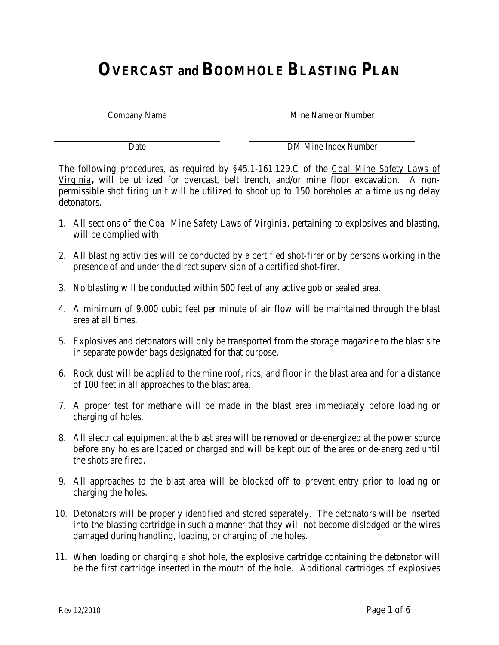# **OVERCAST and BOOMHOLE BLASTING PLAN**

Company Name **Mine Name or Number** 

Date DM Mine Index Number

The following procedures, as required by §45.1-161.129.C of the *Coal Mine Safety Laws of Virginia***,** will be utilized for overcast, belt trench, and/or mine floor excavation. A nonpermissible shot firing unit will be utilized to shoot up to 150 boreholes at a time using delay detonators.

- 1. All sections of the *Coal Mine Safety Laws of Virginia*, pertaining to explosives and blasting, will be complied with.
- 2. All blasting activities will be conducted by a certified shot-firer or by persons working in the presence of and under the direct supervision of a certified shot-firer.
- 3. No blasting will be conducted within 500 feet of any active gob or sealed area.
- 4. A minimum of 9,000 cubic feet per minute of air flow will be maintained through the blast area at all times.
- 5. Explosives and detonators will only be transported from the storage magazine to the blast site in separate powder bags designated for that purpose.
- 6. Rock dust will be applied to the mine roof, ribs, and floor in the blast area and for a distance of 100 feet in all approaches to the blast area.
- 7. A proper test for methane will be made in the blast area immediately before loading or charging of holes.
- 8. All electrical equipment at the blast area will be removed or de-energized at the power source before any holes are loaded or charged and will be kept out of the area or de-energized until the shots are fired.
- 9. All approaches to the blast area will be blocked off to prevent entry prior to loading or charging the holes.
- 10. Detonators will be properly identified and stored separately. The detonators will be inserted into the blasting cartridge in such a manner that they will not become dislodged or the wires damaged during handling, loading, or charging of the holes.
- 11. When loading or charging a shot hole, the explosive cartridge containing the detonator will be the first cartridge inserted in the mouth of the hole. Additional cartridges of explosives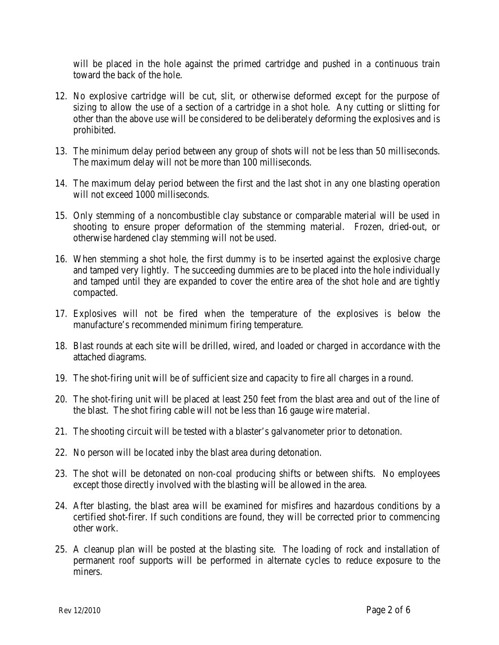will be placed in the hole against the primed cartridge and pushed in a continuous train toward the back of the hole.

- 12. No explosive cartridge will be cut, slit, or otherwise deformed except for the purpose of sizing to allow the use of a section of a cartridge in a shot hole. Any cutting or slitting for other than the above use will be considered to be deliberately deforming the explosives and is prohibited.
- 13. The minimum delay period between any group of shots will not be less than 50 milliseconds. The maximum delay will not be more than 100 milliseconds.
- 14. The maximum delay period between the first and the last shot in any one blasting operation will not exceed 1000 milliseconds.
- 15. Only stemming of a noncombustible clay substance or comparable material will be used in shooting to ensure proper deformation of the stemming material. Frozen, dried-out, or otherwise hardened clay stemming will not be used.
- 16. When stemming a shot hole, the first dummy is to be inserted against the explosive charge and tamped very lightly. The succeeding dummies are to be placed into the hole individually and tamped until they are expanded to cover the entire area of the shot hole and are tightly compacted.
- 17. Explosives will not be fired when the temperature of the explosives is below the manufacture's recommended minimum firing temperature.
- 18. Blast rounds at each site will be drilled, wired, and loaded or charged in accordance with the attached diagrams.
- 19. The shot-firing unit will be of sufficient size and capacity to fire all charges in a round.
- 20. The shot-firing unit will be placed at least 250 feet from the blast area and out of the line of the blast. The shot firing cable will not be less than 16 gauge wire material.
- 21. The shooting circuit will be tested with a blaster's galvanometer prior to detonation.
- 22. No person will be located inby the blast area during detonation.
- 23. The shot will be detonated on non-coal producing shifts or between shifts. No employees except those directly involved with the blasting will be allowed in the area.
- 24. After blasting, the blast area will be examined for misfires and hazardous conditions by a certified shot-firer. If such conditions are found, they will be corrected prior to commencing other work.
- 25. A cleanup plan will be posted at the blasting site. The loading of rock and installation of permanent roof supports will be performed in alternate cycles to reduce exposure to the miners.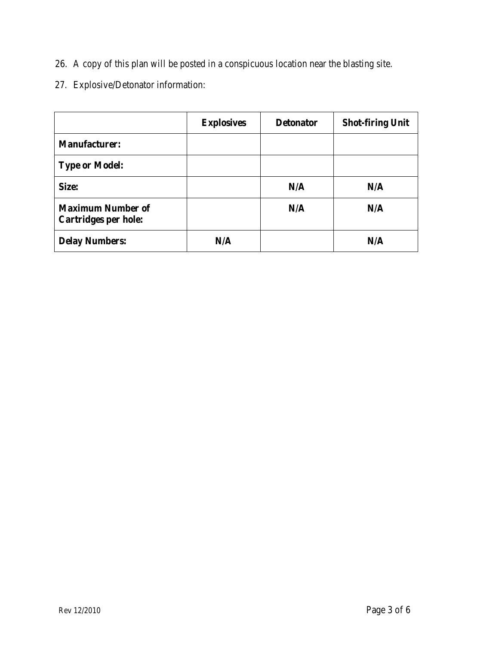- 26. A copy of this plan will be posted in a conspicuous location near the blasting site.
- 27. Explosive/Detonator information:

|                                                  | <b>Explosives</b> | <b>Detonator</b> | <b>Shot-firing Unit</b> |
|--------------------------------------------------|-------------------|------------------|-------------------------|
| <b>Manufacturer:</b>                             |                   |                  |                         |
| <b>Type or Model:</b>                            |                   |                  |                         |
| Size:                                            |                   | N/A              | N/A                     |
| <b>Maximum Number of</b><br>Cartridges per hole: |                   | N/A              | N/A                     |
| <b>Delay Numbers:</b>                            | N/A               |                  | N/A                     |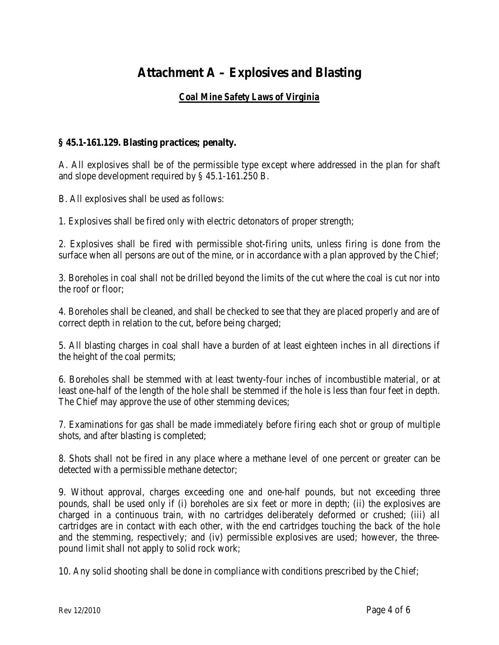## **Attachment A – Explosives and Blasting**

### *Coal Mine Safety Laws of Virginia*

#### **§ 45.1-161.129. Blasting practices; penalty.**

A. All explosives shall be of the permissible type except where addressed in the plan for shaft and slope development required by § 45.1-161.250 B.

B. All explosives shall be used as follows:

1. Explosives shall be fired only with electric detonators of proper strength;

2. Explosives shall be fired with permissible shot-firing units, unless firing is done from the surface when all persons are out of the mine, or in accordance with a plan approved by the Chief;

3. Boreholes in coal shall not be drilled beyond the limits of the cut where the coal is cut nor into the roof or floor;

4. Boreholes shall be cleaned, and shall be checked to see that they are placed properly and are of correct depth in relation to the cut, before being charged;

5. All blasting charges in coal shall have a burden of at least eighteen inches in all directions if the height of the coal permits;

6. Boreholes shall be stemmed with at least twenty-four inches of incombustible material, or at least one-half of the length of the hole shall be stemmed if the hole is less than four feet in depth. The Chief may approve the use of other stemming devices;

7. Examinations for gas shall be made immediately before firing each shot or group of multiple shots, and after blasting is completed;

8. Shots shall not be fired in any place where a methane level of one percent or greater can be detected with a permissible methane detector;

9. Without approval, charges exceeding one and one-half pounds, but not exceeding three pounds, shall be used only if (i) boreholes are six feet or more in depth; (ii) the explosives are charged in a continuous train, with no cartridges deliberately deformed or crushed; (iii) all cartridges are in contact with each other, with the end cartridges touching the back of the hole and the stemming, respectively; and (iv) permissible explosives are used; however, the threepound limit shall not apply to solid rock work;

10. Any solid shooting shall be done in compliance with conditions prescribed by the Chief;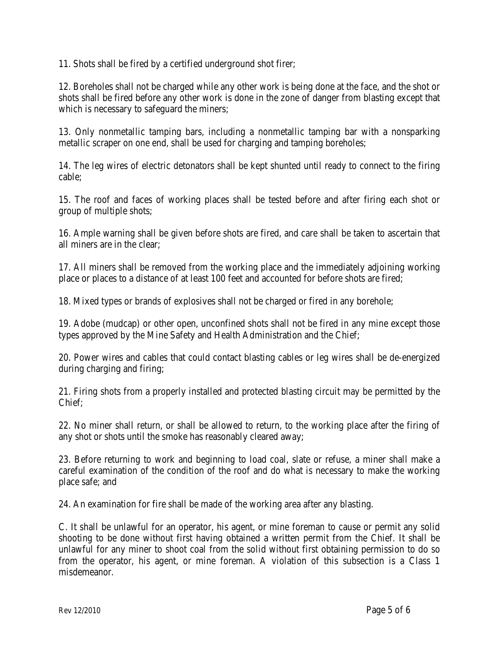11. Shots shall be fired by a certified underground shot firer;

12. Boreholes shall not be charged while any other work is being done at the face, and the shot or shots shall be fired before any other work is done in the zone of danger from blasting except that which is necessary to safeguard the miners;

13. Only nonmetallic tamping bars, including a nonmetallic tamping bar with a nonsparking metallic scraper on one end, shall be used for charging and tamping boreholes;

14. The leg wires of electric detonators shall be kept shunted until ready to connect to the firing cable;

15. The roof and faces of working places shall be tested before and after firing each shot or group of multiple shots;

16. Ample warning shall be given before shots are fired, and care shall be taken to ascertain that all miners are in the clear;

17. All miners shall be removed from the working place and the immediately adjoining working place or places to a distance of at least 100 feet and accounted for before shots are fired;

18. Mixed types or brands of explosives shall not be charged or fired in any borehole;

19. Adobe (mudcap) or other open, unconfined shots shall not be fired in any mine except those types approved by the Mine Safety and Health Administration and the Chief;

20. Power wires and cables that could contact blasting cables or leg wires shall be de-energized during charging and firing;

21. Firing shots from a properly installed and protected blasting circuit may be permitted by the Chief;

22. No miner shall return, or shall be allowed to return, to the working place after the firing of any shot or shots until the smoke has reasonably cleared away;

23. Before returning to work and beginning to load coal, slate or refuse, a miner shall make a careful examination of the condition of the roof and do what is necessary to make the working place safe; and

24. An examination for fire shall be made of the working area after any blasting.

C. It shall be unlawful for an operator, his agent, or mine foreman to cause or permit any solid shooting to be done without first having obtained a written permit from the Chief. It shall be unlawful for any miner to shoot coal from the solid without first obtaining permission to do so from the operator, his agent, or mine foreman. A violation of this subsection is a Class 1 misdemeanor.